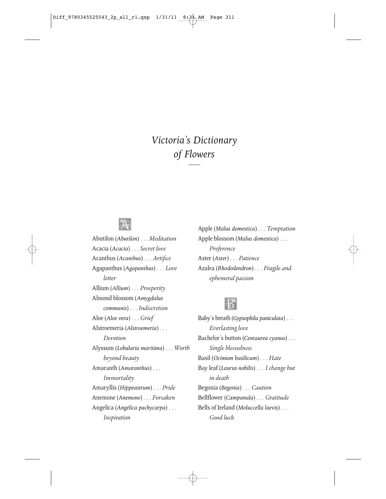#### *Victoria's Dictionary of Flowers*



Abutilon (*Abutilon*) . . . *Meditation* Acacia (*Acacia*) . . . *Secret love* Acanthus (*Acanthus*) . . . *Artifice* Agapanthus (*Agapanthus*) . . . *Love letter* Allium (*Allium*) . . . *Prosperity* Almond blossom (*Amygdalus communis*) . . . *Indiscretion* Aloe (*Aloe vera*) . . . *Grief* Alstroemeria (*Alstroemeria*) . . . *Devotion* Alyssum (*Lobularia maritima*) . . . *Worth beyond beauty* Amaranth (*Amaranthus*) . . . *Immortality* Amaryllis (*Hippeastrum*) . . . *Pride* Anemone (*Anemone*) . . . *Forsaken* Angelica (*Angelica pachycarpa*) . . . *Inspiration*

Apple (*Malus domestica*) . . . *Temptation* Apple blossom (*Malus domestica*) . . . *Preference* Aster (*Aster*) . . . *Patience* Azalea (*Rhododendron*) . . . *Fragile and ephemeral passion*



Baby's breath (*Gypsophila paniculata*) . . . *Everlasting love* Bachelor's button (*Centaurea cyanus*) . . . *Single blessedness* Basil (*Ocimum basilicum*) . . . *Hate* Bay leaf (*Laurus nobilis*) . . . *I change but in death* Begonia (*Begonia*) . . . *Caution* Bellflower (*Campanula*) . . . *Gratitude* Bells of Ireland (*Moluccella laevis*) . . . *Good luck*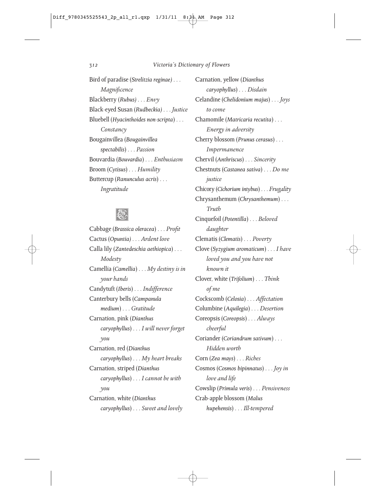Bird of paradise (*Strelitzia reginae)* . . . *Magnificence* Blackberry (*Rubus)* . . . *Envy* Black-eyed Susan (*Rudbeckia)* . . . *Justice* Bluebell (*Hyacinthoides non-scripta*) . . . *Constancy* Bougainvillea (*Bougainvillea spectabilis*) . . . *Passion* Bouvardia (*Bouvardia*) . . . *Enthusiasm* Broom (*Cytisus*) . . . *Humility* Buttercup (*Ranunculus acris*) . . . *Ingratitude*



Cabbage (*Brassica oleracea*) . . . *Profit* Cactus (*Opuntia)* . . . *Ardent love* Calla lily (*Zantedeschia aethiopica*) . . . *Modesty* Camellia (*Camellia*) . . . *My destiny is in your hands* Candytuft (*Iberis*) . . . *Indifference* Canterbury bells (*Campanula medium*) . . . *Gratitude* Carnation, pink (*Dianthus caryophyllus*) . . . *I will never forget you* Carnation, red (*Dianthus caryophyllus*) . . . *My heart breaks* Carnation, striped (*Dianthus caryophyllus*) . . . *I cannot be with you* Carnation, white (*Dianthus caryophyllus*) . . . *Sweet and lovely*

Carnation, yellow (*Dianthus caryophyllus*) . . . *Disdain* Celandine (*Chelidonium majus*) . . . *Joys to come* Chamomile (*Matricaria recutita*) . . . *Energy in adversity* Cherry blossom (*Prunus cerasus*) . . . *Impermanence* Chervil (*Anthriscus*) . . . *Sincerity* Chestnuts (*Castanea sativa*) . . . *Do me justice* Chicory (*Cichorium intybus*) . . . *Frugality* Chrysanthemum (*Chrysanthemum*) . . . *Truth* Cinquefoil (*Potentilla*) . . . *Beloved daughter* Clematis (*Clematis*) . . . *Poverty* Clove (*Syzygium aromaticum*) . . . *I have loved you and you have not known it* Clover, white (*Trifolium*) . . . *Think of me* Cockscomb (*Celosia*) . . . *Affectation* Columbine (*Aquilegia*) . . . *Desertion* Coreopsis (*Coreopsis*) . . . *Always cheerful* Coriander (*Coriandrum sativum*) . . . *Hidden worth* Corn (*Zea mays*) . . . *Riches* Cosmos (*Cosmos bipinnatus*) . . . *Joy in love and life* Cowslip (*Primula veris*) . . . *Pensiveness* Crab-apple blossom (*Malus hupehensis*) . . . *Ill-tempered*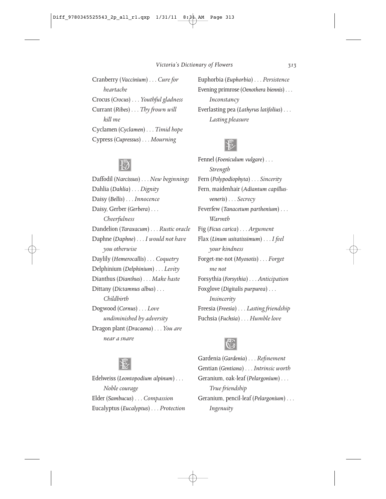Cranberry (*Vaccinium*) . . . *Cure for heartache* Crocus (*Crocus*) . . . *Youthful gladness* Currant (*Ribes*) . . . *Thy frown will kill me* Cyclamen (*Cyclamen*) . . . *Timid hope* Cypress (*Cupressus*) . . . *Mourning*

Euphorbia (*Euphorbia*) . . . *Persistence* Evening primrose (*Oenothera biennis*) . . . *Inconstancy* Everlasting pea (*Lathyrus latifolius*) . . . *Lasting pleasure*



Fennel (*Foeniculum vulgare*) . . .

## $\overline{\mathbb{W}}$

Daffodil (*Narcissus*) . . . *New beginnings* Dahlia (*Dahlia*) . . . *Dignity* Daisy (*Bellis*) . . . *Innocence* Daisy, Gerber (*Gerbera*) . . . *Cheerfulness* Dandelion (*Taraxacum*) . . . *Rustic oracle* Daphne (*Daphne*) . . . *I would not have you otherwise* Daylily (*Hemerocallis*) . . . *Coquetry* Delphinium (*Delphinium*) . . . *Levity* Dianthus (*Dianthus*) . . . *Make haste* Dittany (*Dictamnus albus*) . . . *Childbirth* Dogwood (*Cornus*) . . . *Love undiminished by adversity* Dragon plant (*Dracaena*) . . . *You are near a snare*

*Strength* Fern (*Polypodiophyta*) . . . *Sincerity* Fern, maidenhair (*Adiantum capillusveneris*) . . . *Secrecy* Feverfew (*Tanacetum parthenium*) . . . *Warmth* Fig (*Ficus carica*) . . . *Argument* Flax (*Linum usitatissimum*) . . . *I feel your kindness* Forget-me-not (*Myosotis*) . . . *Forget me not* Forsythia (*Forsythia*) . . . *Anticipation* Foxglove (*Digitalis purpurea*) . . . *Insincerity* Freesia (*Freesia*) . . . *Lasting friendship* Fuchsia (*Fuchsia*) . . . *Humble love*



Gardenia (*Gardenia*) . . . *Refinement* Gentian (*Gentiana*) . . . *Intrinsic worth* Geranium, oak-leaf (*Pelargonium*) . . . *True friendship* Geranium, pencil-leaf (*Pelargonium*) . . . *Ingenuity*



Edelweiss (*Leontopodium alpinum*) . . . *Noble courage* Elder (*Sambucus*) . . . *Compassion* Eucalyptus (*Eucalyptus*) . . . *Protection*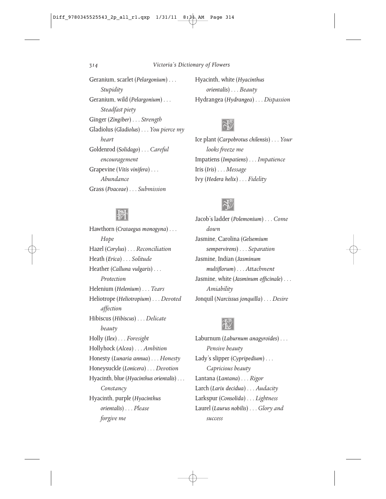Geranium, scarlet (*Pelargonium*) . . . *Stupidity* Geranium, wild (*Pelargonium*) . . . *Steadfast piety* Ginger (*Zingiber*) . . . *Strength* Gladiolus (*Gladiolus*) . . . *You pierce my heart* Goldenrod (*Solidago*) . . . *Careful encouragement* Grapevine (*Vitis vinifera*) . . . *Abundance* Grass (*Poaceae*) . . . *Submission*

Hyacinth, white (*Hyacinthus orientalis*) . . . *Beauty* Hydrangea (*Hydrangea*) . . . *Dispassion*



Ice plant (*Carpobrotus chilensis*) . . . *Your looks freeze me* Impatiens (*Impatiens*) . . . *Impatience* Iris (*Iris*) . . . *Message* Ivy (*Hedera helix*) . . . *Fidelity*



Jacob's ladder (*Polemonium*) . . . *Come down* Jasmine, Carolina (*Gelsemium sempervirens*) . . . *Separation* Jasmine, Indian (*Jasminum multiflorum*) . . . *Attachment* Jasmine, white (*Jasminum officinale*) . . . *Amiability* Jonquil (*Narcissus jonquilla*) . . . *Desire*

# $|\vec{v}|$

Laburnum (*Laburnum anagyroides*) . . . *Pensive beauty* Lady's slipper (*Cypripedium*) . . . *Capricious beauty* Lantana (*Lantana*) . . . *Rigor* Larch (*Larix decidua*) . . . *Audacity* Larkspur (*Consolida*) . . . *Lightness* Laurel (*Laurus nobilis*) . . . *Glory and success*

## **M**

Hawthorn (*Crataegus monogyna*) . . . *Hope* Hazel (*Corylus*) . . . *Reconciliation* Heath (*Erica*) . . . *Solitude* Heather (*Calluna vulgaris*) . . . *Protection* Helenium (*Helenium*) . . . *Tears* Heliotrope (*Heliotropium*) . . . *Devoted affection* Hibiscus (*Hibiscus*) . . . *Delicate beauty* Holly (*Ilex*) . . . *Foresight* Hollyhock (*Alcea*) . . . *Ambition* Honesty (*Lunaria annua*) . . . *Honesty* Honeysuckle (*Lonicera*) . . . *Devotion* Hyacinth, blue (*Hyacinthus orientalis*) . . . *Constancy* Hyacinth, purple (*Hyacinthus orientalis*) . . . *Please forgive me*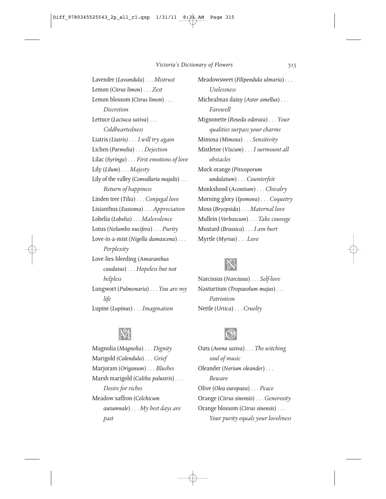Lavender (*Lavandula*) . . . *Mistrust* Lemon (*Citrus limon*) . . . *Zest* Lemon blossom (*Citrus limon*) . . . *Discretion* Lettuce (*Lactuca sativa*) . . . *Coldheartedness* Liatris *(Liatris)* . . . *I will try again* Lichen (*Parmelia*) . . . *Dejection* Lilac (*Syringa*) . . . *First emotions of love* Lily (*Lilum*) . . . *Majesty* Lily of the valley (*Convallaria majalis*) . . . *Return of happiness* Linden tree (*Tilia*) . . . *Conjugal love* Lisianthus (*Eustoma*) . . . *Appreciation* Lobelia (*Lobelia*) . . . *Malevolence* Lotus (*Nelumbo nucifera*) . . . *Purity* Love-in-a-mist (*Nigella damascena*) . . . *Perplexity* Love-lies-bleeding (*Amaranthus caudatus*) . . . *Hopeless but not helpless* Lungwort (*Pulmonaria*) . . . *You are my life* Lupine (*Lupinus*) . . . *Imagination*

Meadowsweet (*Filipendula ulmaria*) . . . *Uselessness* Michealmas daisy (*Aster amellus*) . . . *Farewell* Mignonette (*Reseda odorata*) . . . *Your qualities surpass your charms* Mimosa (*Mimosa*) . . . *Sensitivity* Mistletoe (*Viscum*) . . . *I surmount all obstacles* Mock orange (*Pittosporum undulatum*) . . . *Counterfeit* Monkshood (*Aconitum*) . . . *Chivalry* Morning glory (*Ipomoea*) . . . *Coquetry* Moss (*Bryopsida*) . . . *Maternal love* Mullein (*Verbascum*) . . . *Take courage* Mustard (*Brassica*) . . . *I am hurt* Myrtle (*Myrtus*) . . . *Love*



Narcissus (*Narcissus*) . . . *Self-love* Nasturtium (*Tropaeolum majus*) . . . *Patriotism* Nettle (*Urtica*) . . . *Cruelty*

## M

Magnolia (*Magnolia*) . . . *Dignity* Marigold (*Calendula*) . . . *Grief* Marjoram (*Origanum*) . . . *Blushes* Marsh marigold (*Caltha palustris*) . . . *Desire for riches* Meadow saffron (*Colchicum autumnale*) . . . *My best days are past*



Oats (*Avena sativa*) . . . *The witching soul of music* Oleander (*Nerium oleander*) . . . *Beware* Olive (*Olea europaea*) . . . *Peace* Orange (*Citrus sinensis*) . . . *Generosity* Orange blossom (*Citrus sinensis*) . . . *Your purity equals your loveliness*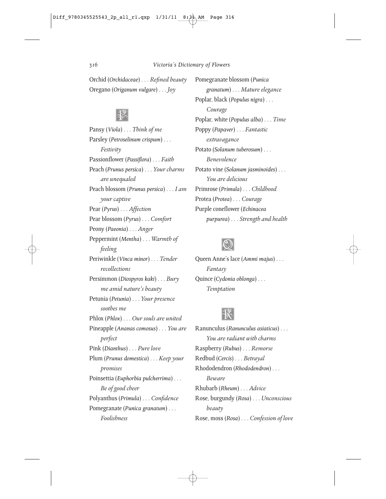Orchid (*Orchidaceae*) . . . *Refined beauty* Oregano (*Origanum vulgare*) . . . *Joy*

## **PASS**

Pansy (*Viola*) . . . *Think of me* Parsley (*Petroselinum crispum*) . . . *Festivity* Passionflower (*Passiflora*) . . . *Faith* Peach (*Prunus persica*) . . . *Your charms are unequaled* Peach blossom (*Prunus persica*) . . . *I am your captive* Pear (*Pyrus*) . . . *Affection* Pear blossom (*Pyrus*) . . . *Comfort* Peony (*Paeonia*) . . . *Anger* Peppermint (*Mentha*) . . . *Warmth of feeling* Periwinkle (*Vinca minor*) . . . *Tender recollections* Persimmon (*Diospyros kaki*) . . . *Bury me amid nature's beauty* Petunia (*Petunia*) . . . *Your presence soothes me* Phlox (*Phlox*) . . . *Our souls are united* Pineapple (*Ananas comosus*) . . . *You are perfect* Pink (*Dianthus*) . . . *Pure love* Plum (*Prunus domestica*) . . . *Keep your promises* Poinsettia (*Euphorbia pulcherrima*) . . . *Be of good cheer* Polyanthus (*Primula*) . . . *Confidence* Pomegranate (*Punica granatum*) . . . *Foolishness*

Pomegranate blossom (*Punica granatum*) . . . *Mature elegance* Poplar, black (*Populus nigra*) . . . *Courage* Poplar, white (*Populus alba*) . . . *Time* Poppy (*Papaver*) . . . *Fantastic extravagance* Potato (*Solanum tuberosum*) . . . *Benevolence* Potato vine (*Solanum jasminoides*) . . . *You are delicious* Primrose (*Primula*) . . . *Childhood* Protea (*Protea*) . . . *Courage* Purple coneflower (*Echinacea purpurea*) . . . *Strength and health*



Queen Anne's lace (*Ammi majus*) . . . *Fantasy* Quince (*Cydonia oblonga*) . . . *Temptation*



Ranunculus (*Ranunculus asiaticus*) . . . *You are radiant with charms* Raspberry (*Rubus*) . . . *Remorse* Redbud (*Cercis*) . . . *Betrayal* Rhododendron (*Rhododendron*) . . . *Beware* Rhubarb (*Rheum*) . . . *Advice* Rose, burgundy (*Rosa*) . . . *Unconscious beauty* Rose, moss (*Rosa*) . . . *Confession of love*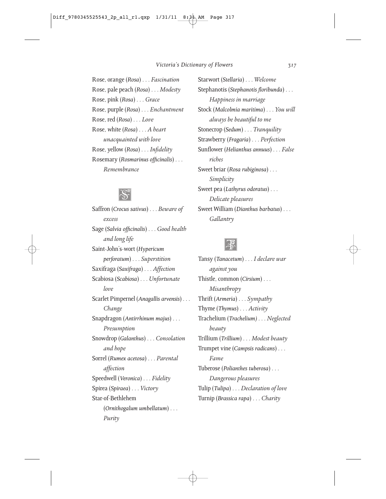Rose, orange (*Rosa*) . . . *Fascination* Rose, pale peach (*Rosa*) . . . *Modesty* Rose, pink (*Rosa*) . . . *Grace* Rose, purple (*Rosa*) . . . *Enchantment* Rose, red (*Rosa*) . . . *Love* Rose, white (*Rosa*) . . . *A heart unacquainted with love* Rose, yellow (*Rosa*) . . . *Infidelity* Rosemary (*Rosmarinus officinalis*) . . . *Remembrance*



Saffron (*Crocus sativus*) . . . *Beware of excess* Sage (*Salvia officinalis*) . . . *Good health and long life* Saint-John's-wort (*Hypericum perforatum*) . . . *Superstition* Saxifraga (*Saxifraga*) . . . *Affection* Scabiosa (*Scabiosa*) . . . *Unfortunate love* Scarlet Pimpernel (*Anagallis arvensis*) . . . *Change* Snapdragon (*Antirrhinum majus*) . . . *Presumption* Snowdrop (*Galanthus*) . . . *Consolation and hope* Sorrel (*Rumex acetosa*) . . . *Parental affection* Speedwell (*Veronica*) . . . *Fidelity* Spirea (*Spiraea*) . . . *Victory* Star-of-Bethlehem (*Ornithogalum umbellatum*) . . . *Purity*

Starwort (*Stellaria*) . . . *Welcome* Stephanotis (*Stephanotis floribunda*) . . . *Happiness in marriage* Stock (*Malcolmia maritima*) . . . *You will always be beautiful to me* Stonecrop (*Sedum*) . . . *Tranquility* Strawberry (*Fragaria*) . . . *Perfection* Sunflower (*Helianthus annuus*) . . . *False riches* Sweet briar (*Rosa rubiginosa*) . . . *Simplicity* Sweet pea (*Lathyrus odoratus*) . . . *Delicate pleasures* Sweet William (*Dianthus barbatus*) . . . *Gallantry*



Tansy (*Tanacetum*) . . . *I declare war against you* Thistle, common (*Cirsium*) . . . *Misanthropy* Thrift (*Armeria*) . . . *Sympathy* Thyme (*Thymus*) . . . *Activity* Trachelium (*Trachelium)* . . . *Neglected beauty* Trillium (*Trillium*) . . . *Modest beauty* Trumpet vine (*Campsis radicans*) . . . *Fame* Tuberose (*Polianthes tuberosa*) . . . *Dangerous pleasures* Tulip (*Tulipa*) . . . *Declaration of love* Turnip (*Brassica rapa*) . . . *Charity*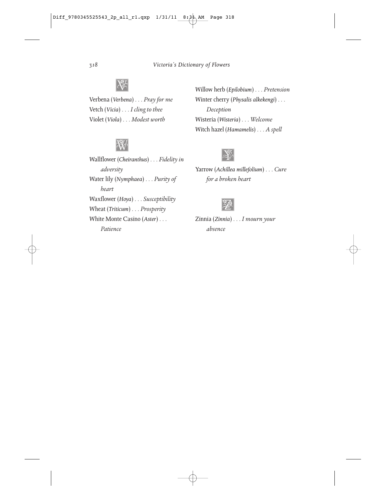

Verbena (*Verbena*) . . . *Pray for me* Vetch (*Vicia*) . . . *I cling to thee* Violet (*Viola*) . . . *Modest worth*



Wallflower (*Cheiranthus*) . . . *Fidelity in adversity* Water lily (*Nymphaea*) . . . *Purity of heart* Waxflower (*Hoya*) . . . *Susceptibility* Wheat (*Triticum*) . . . *Prosperity* White Monte Casino (*Aster*) . . . *Patience*

Willow herb (*Epilobium*) . . . *Pretension* Winter cherry (*Physalis alkekengi*) . . . *Deception* Wisteria (*Wisteria*) . . . *Welcome* Witch hazel (*Hamamelis*) . . . *A spell*



Yarrow (*Achillea millefolium*) . . . *Cure for a broken heart*



Zinnia (*Zinnia*) . . . *I mourn your absence*